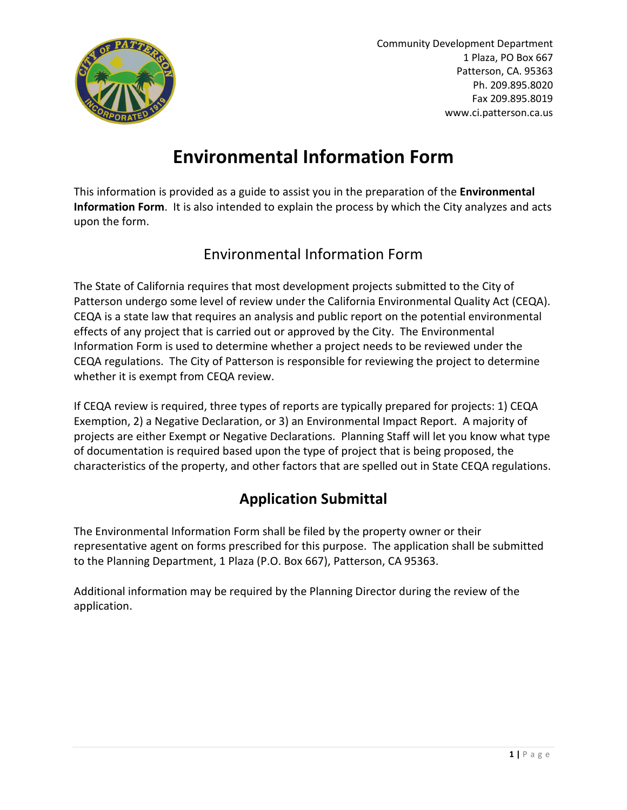

Community Development Department 1 Plaza, PO Box 667 Patterson, CA. 95363 Ph. 209.895.8020 Fax 209.895.8019 www.ci.patterson.ca.us

## Environmental Information Form

This information is provided as a guide to assist you in the preparation of the Environmental Information Form. It is also intended to explain the process by which the City analyzes and acts upon the form.

## Environmental Information Form

The State of California requires that most development projects submitted to the City of Patterson undergo some level of review under the California Environmental Quality Act (CEQA). CEQA is a state law that requires an analysis and public report on the potential environmental effects of any project that is carried out or approved by the City. The Environmental Information Form is used to determine whether a project needs to be reviewed under the CEQA regulations. The City of Patterson is responsible for reviewing the project to determine whether it is exempt from CEQA review.

If CEQA review is required, three types of reports are typically prepared for projects: 1) CEQA Exemption, 2) a Negative Declaration, or 3) an Environmental Impact Report. A majority of projects are either Exempt or Negative Declarations. Planning Staff will let you know what type of documentation is required based upon the type of project that is being proposed, the characteristics of the property, and other factors that are spelled out in State CEQA regulations.

## Application Submittal

The Environmental Information Form shall be filed by the property owner or their representative agent on forms prescribed for this purpose. The application shall be submitted to the Planning Department, 1 Plaza (P.O. Box 667), Patterson, CA 95363.

Additional information may be required by the Planning Director during the review of the application.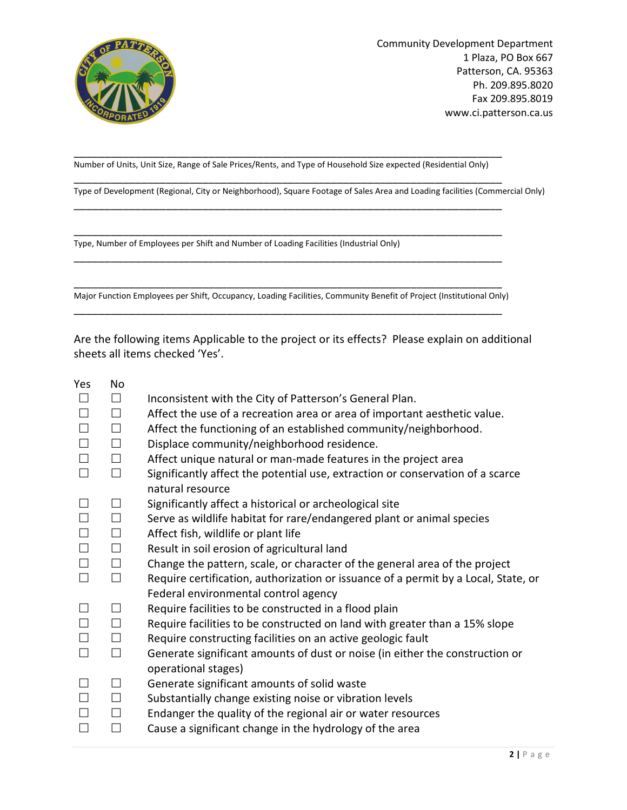

Community Development Department 1 Plaza, PO Box 667 Patterson, CA. 95363 Ph. 209.895.8020 Fax 209.895.8019 www.ci.patterson.ca.us

Number of Units, Unit Size, Range of Sale Prices/Rents, and Type of Household Size expected (Residential Only) \_\_\_\_\_\_\_\_\_\_\_\_\_\_\_\_\_\_\_\_\_\_\_\_\_\_\_\_\_\_\_\_\_\_\_\_\_\_\_\_\_\_\_\_\_\_\_\_\_\_\_\_\_\_\_\_\_\_\_\_\_\_\_\_\_\_\_\_\_\_

\_\_\_\_\_\_\_\_\_\_\_\_\_\_\_\_\_\_\_\_\_\_\_\_\_\_\_\_\_\_\_\_\_\_\_\_\_\_\_\_\_\_\_\_\_\_\_\_\_\_\_\_\_\_\_\_\_\_\_\_\_\_\_\_\_\_\_\_\_\_

\_\_\_\_\_\_\_\_\_\_\_\_\_\_\_\_\_\_\_\_\_\_\_\_\_\_\_\_\_\_\_\_\_\_\_\_\_\_\_\_\_\_\_\_\_\_\_\_\_\_\_\_\_\_\_\_\_\_\_\_\_\_\_\_\_\_\_\_\_\_

\_\_\_\_\_\_\_\_\_\_\_\_\_\_\_\_\_\_\_\_\_\_\_\_\_\_\_\_\_\_\_\_\_\_\_\_\_\_\_\_\_\_\_\_\_\_\_\_\_\_\_\_\_\_\_\_\_\_\_\_\_\_\_\_\_\_\_\_\_\_

\_\_\_\_\_\_\_\_\_\_\_\_\_\_\_\_\_\_\_\_\_\_\_\_\_\_\_\_\_\_\_\_\_\_\_\_\_\_\_\_\_\_\_\_\_\_\_\_\_\_\_\_\_\_\_\_\_\_\_\_\_\_\_\_\_\_\_\_\_\_

Type of Development (Regional, City or Neighborhood), Square Footage of Sales Area and Loading facilities (Commercial Only)

Type, Number of Employees per Shift and Number of Loading Facilities (Industrial Only)

\_\_\_\_\_\_\_\_\_\_\_\_\_\_\_\_\_\_\_\_\_\_\_\_\_\_\_\_\_\_\_\_\_\_\_\_\_\_\_\_\_\_\_\_\_\_\_\_\_\_\_\_\_\_\_\_\_\_\_\_\_\_\_\_\_\_\_\_\_\_ Major Function Employees per Shift, Occupancy, Loading Facilities, Community Benefit of Project (Institutional Only) \_\_\_\_\_\_\_\_\_\_\_\_\_\_\_\_\_\_\_\_\_\_\_\_\_\_\_\_\_\_\_\_\_\_\_\_\_\_\_\_\_\_\_\_\_\_\_\_\_\_\_\_\_\_\_\_\_\_\_\_\_\_\_\_\_\_\_\_\_\_

Are the following items Applicable to the project or its effects? Please explain on additional sheets all items checked 'Yes'.

Yes No

|        | П      | Inconsistent with the City of Patterson's General Plan.                                                                    |
|--------|--------|----------------------------------------------------------------------------------------------------------------------------|
| $\Box$ | $\Box$ | Affect the use of a recreation area or area of important aesthetic value.                                                  |
| $\Box$ | $\Box$ | Affect the functioning of an established community/neighborhood.                                                           |
| $\Box$ | $\Box$ | Displace community/neighborhood residence.                                                                                 |
| $\Box$ | $\Box$ | Affect unique natural or man-made features in the project area                                                             |
|        | $\Box$ | Significantly affect the potential use, extraction or conservation of a scarce<br>natural resource                         |
| $\Box$ | $\Box$ | Significantly affect a historical or archeological site                                                                    |
| $\Box$ | $\Box$ | Serve as wildlife habitat for rare/endangered plant or animal species                                                      |
| $\Box$ | $\Box$ | Affect fish, wildlife or plant life                                                                                        |
| $\Box$ | $\Box$ | Result in soil erosion of agricultural land                                                                                |
| $\Box$ | $\Box$ | Change the pattern, scale, or character of the general area of the project                                                 |
| $\Box$ | $\Box$ | Require certification, authorization or issuance of a permit by a Local, State, or<br>Federal environmental control agency |
|        | $\Box$ | Require facilities to be constructed in a flood plain                                                                      |
| $\Box$ | $\Box$ | Require facilities to be constructed on land with greater than a 15% slope                                                 |
| $\Box$ | $\Box$ | Require constructing facilities on an active geologic fault                                                                |
| $\Box$ | $\Box$ | Generate significant amounts of dust or noise (in either the construction or<br>operational stages)                        |
|        | П      | Generate significant amounts of solid waste                                                                                |
|        | $\Box$ | Substantially change existing noise or vibration levels                                                                    |
| $\Box$ | $\Box$ | Endanger the quality of the regional air or water resources                                                                |
| $\Box$ | $\Box$ | Cause a significant change in the hydrology of the area                                                                    |